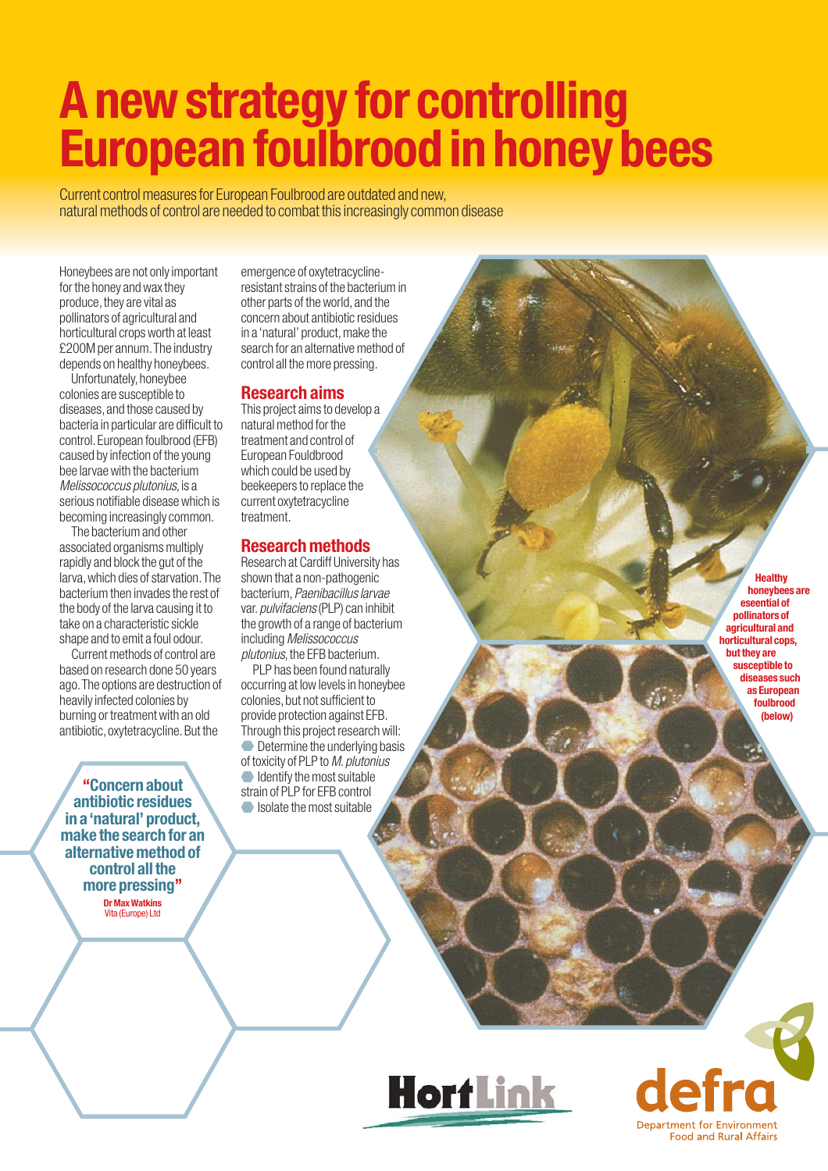# **A new strategy for controlling European foulbrood in honey bees**

Current control measures for European Foulbrood are outdated and new, natural methods of control are needed to combat this increasingly common disease

Honeybees are not only important for the honey and wax they produce, they are vital as pollinators of agricultural and horticultural crops worth at least £200M per annum.The industry depends on healthy honeybees.

Unfortunately, honeybee colonies are susceptible to diseases,and those caused by bacteria in particular are difficult to control.European foulbrood (EFB) caused by infection of the young bee larvae with the bacterium *Melissococcus plutonius*, is a serious notifiable disease which is becoming increasingly common.

The bacterium and other associated organisms multiply rapidly and block the gut of the larva,which dies of starvation.The bacterium then invades the rest of the body of the larva causing it to take on a characteristic sickle shape and to emit a foul odour.

Current methods of control are based on research done 50 years ago.The options are destruction of heavily infected colonies by burning or treatment with an old antibiotic, oxytetracycline. But the

**"Concern about antibiotic residues in a 'natural' product, make the search for an alternative method of control all the more pressing"**

**Dr Max Watkins** Vita (Europe) Ltd

emergence of oxytetracyclineresistant strains of the bacterium in other parts of the world,and the concern about antibiotic residues in a 'natural' product, make the search for an alternative method of control all the more pressing.

# **Research aims**

This project aims to develop a natural method for the treatment and control of European Fouldbrood which could be used by beekeepers to replace the current oxytetracycline treatment.

# **Research methods**

Research at Cardiff University has shown that a non-pathogenic bacterium,*Paenibacillus larvae* var.*pulvifaciens*(PLP) can inhibit the growth of a range of bacterium including *Melissococcus plutonius*, the EFB bacterium.

PLP has been found naturally occurring at low levels in honeybee colonies, but not sufficient to provide protection against EFB. Through this project research will: Determine the underlying basis of toxicity of PLP to *M.plutonius* Identify the most suitable strain of PLP for EFB control Isolate the most suitable